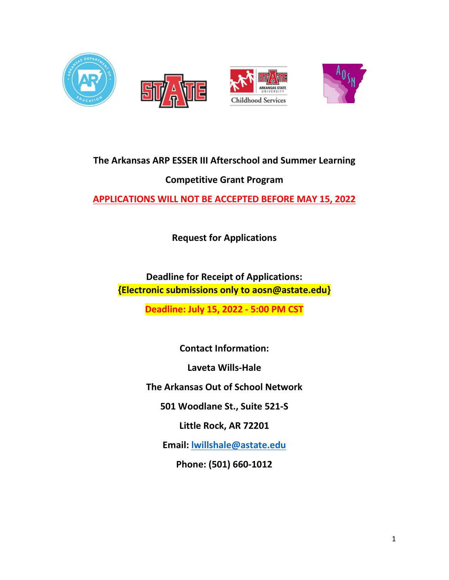

# **The Arkansas ARP ESSER III Afterschool and Summer Learning**

# **Competitive Grant Program**

**APPLICATIONS WILL NOT BE ACCEPTED BEFORE MAY 15, 2022**

**Request for Applications**

**Deadline for Receipt of Applications: {Electronic submissions only to aosn@astate.edu}**

**Deadline: July 15, 2022 - 5:00 PM CST**

**Contact Information: Laveta Wills-Hale**

**The Arkansas Out of School Network**

**501 Woodlane St., Suite 521-S** 

**Little Rock, AR 72201**

**Email: lwillshale@astate.edu**

**Phone: (501) 660-1012**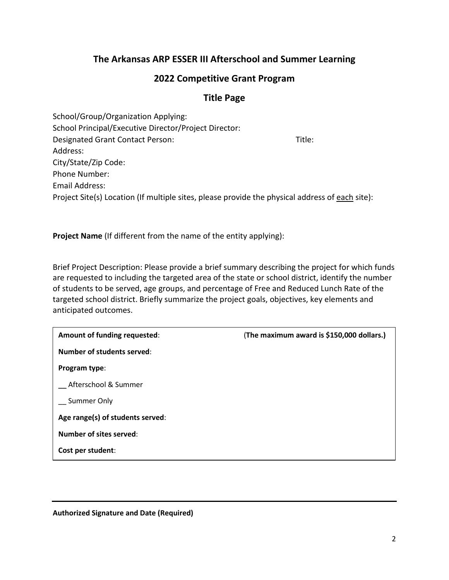# **The Arkansas ARP ESSER III Afterschool and Summer Learning**

## **2022 Competitive Grant Program**

## **Title Page**

School/Group/Organization Applying: School Principal/Executive Director/Project Director: Designated Grant Contact Person: Title: Address: City/State/Zip Code: Phone Number: Email Address: Project Site(s) Location (If multiple sites, please provide the physical address of each site):

**Project Name** (If different from the name of the entity applying):

Brief Project Description: Please provide a brief summary describing the project for which funds are requested to including the targeted area of the state or school district, identify the number of students to be served, age groups, and percentage of Free and Reduced Lunch Rate of the targeted school district. Briefly summarize the project goals, objectives, key elements and anticipated outcomes.

| Amount of funding requested:     | (The maximum award is \$150,000 dollars.) |
|----------------------------------|-------------------------------------------|
| Number of students served:       |                                           |
| Program type:                    |                                           |
| Afterschool & Summer             |                                           |
| Summer Only                      |                                           |
| Age range(s) of students served: |                                           |
| <b>Number of sites served:</b>   |                                           |
| Cost per student:                |                                           |

**Authorized Signature and Date (Required)**

l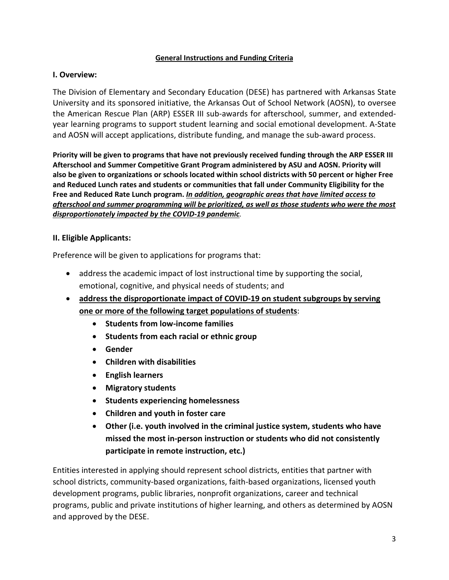#### **General Instructions and Funding Criteria**

#### **I. Overview:**

The Division of Elementary and Secondary Education (DESE) has partnered with Arkansas State University and its sponsored initiative, the Arkansas Out of School Network (AOSN), to oversee the American Rescue Plan (ARP) ESSER III sub-awards for afterschool, summer, and extendedyear learning programs to support student learning and social emotional development. A-State and AOSN will accept applications, distribute funding, and manage the sub-award process.

**Priority will be given to programs that have not previously received funding through the ARP ESSER III Afterschool and Summer Competitive Grant Program administered by ASU and AOSN. Priority will also be given to organizations or schools located within school districts with 50 percent or higher Free and Reduced Lunch rates and students or communities that fall under Community Eligibility for the Free and Reduced Rate Lunch program.** *In addition, geographic areas that have limited access to afterschool and summer programming will be prioritized, as well as those students who were the most disproportionately impacted by the COVID-19 pandemic.*

#### **II. Eligible Applicants:**

Preference will be given to applications for programs that:

- address the academic impact of lost instructional time by supporting the social, emotional, cognitive, and physical needs of students; and
- **address the disproportionate impact of COVID-19 on student subgroups by serving one or more of the following target populations of students**:
	- **Students from low-income families**
	- **Students from each racial or ethnic group**
	- **Gender**
	- **Children with disabilities**
	- **English learners**
	- **Migratory students**
	- **Students experiencing homelessness**
	- **Children and youth in foster care**
	- **Other (i.e. youth involved in the criminal justice system, students who have missed the most in-person instruction or students who did not consistently participate in remote instruction, etc.)**

Entities interested in applying should represent school districts, entities that partner with school districts, community-based organizations, faith-based organizations, licensed youth development programs, public libraries, nonprofit organizations, career and technical programs, public and private institutions of higher learning, and others as determined by AOSN and approved by the DESE.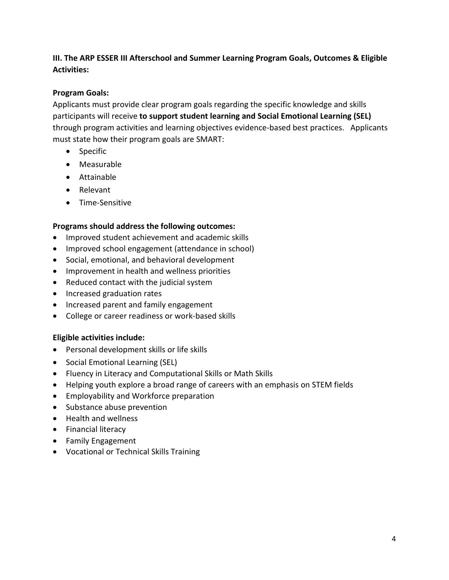## **III. The ARP ESSER III Afterschool and Summer Learning Program Goals, Outcomes & Eligible Activities:**

### **Program Goals:**

Applicants must provide clear program goals regarding the specific knowledge and skills participants will receive **to support student learning and Social Emotional Learning (SEL)** through program activities and learning objectives evidence-based best practices. Applicants must state how their program goals are SMART:

- Specific
- Measurable
- Attainable
- Relevant
- Time-Sensitive

#### **Programs should address the following outcomes:**

- Improved student achievement and academic skills
- Improved school engagement (attendance in school)
- Social, emotional, and behavioral development
- Improvement in health and wellness priorities
- Reduced contact with the judicial system
- Increased graduation rates
- Increased parent and family engagement
- College or career readiness or work-based skills

#### **Eligible activities include:**

- Personal development skills or life skills
- Social Emotional Learning (SEL)
- Fluency in Literacy and Computational Skills or Math Skills
- Helping youth explore a broad range of careers with an emphasis on STEM fields
- Employability and Workforce preparation
- Substance abuse prevention
- Health and wellness
- Financial literacy
- Family Engagement
- Vocational or Technical Skills Training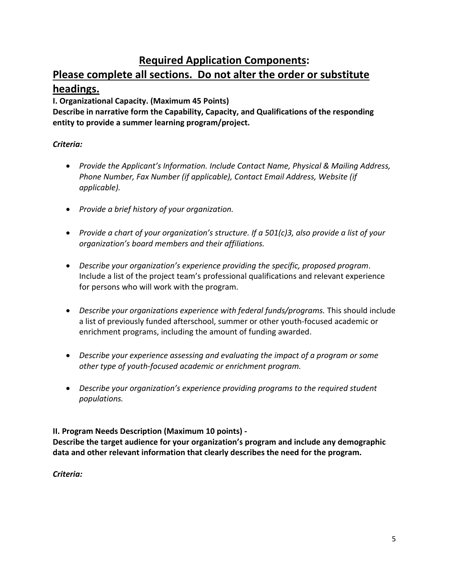# **Required Application Components:**

# **Please complete all sections. Do not alter the order or substitute headings.**

**I. Organizational Capacity. (Maximum 45 Points)**

**Describe in narrative form the Capability, Capacity, and Qualifications of the responding entity to provide a summer learning program/project.** 

## *Criteria:*

- *Provide the Applicant's Information. Include Contact Name, Physical & Mailing Address, Phone Number, Fax Number (if applicable), Contact Email Address, Website (if applicable).*
- *Provide a brief history of your organization.*
- *Provide a chart of your organization's structure. If a 501(c)3, also provide a list of your organization's board members and their affiliations.*
- *Describe your organization's experience providing the specific, proposed program*. Include a list of the project team's professional qualifications and relevant experience for persons who will work with the program.
- *Describe your organizations experience with federal funds/programs.* This should include a list of previously funded afterschool, summer or other youth-focused academic or enrichment programs, including the amount of funding awarded.
- *Describe your experience assessing and evaluating the impact of a program or some other type of youth-focused academic or enrichment program.*
- *Describe your organization's experience providing programs to the required student populations.*

**II. Program Needs Description (Maximum 10 points) -** 

**Describe the target audience for your organization's program and include any demographic data and other relevant information that clearly describes the need for the program.**

*Criteria:*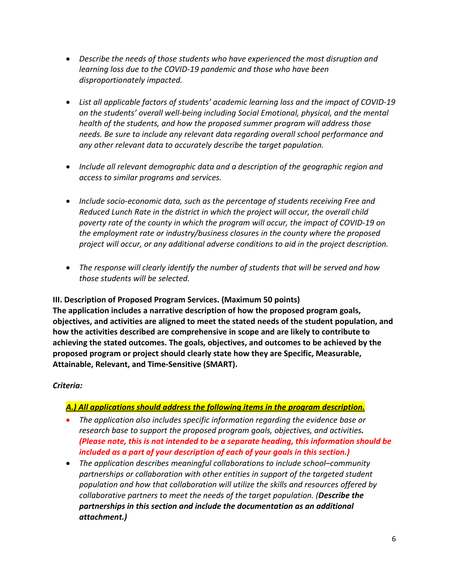- *Describe the needs of those students who have experienced the most disruption and learning loss due to the COVID-19 pandemic and those who have been disproportionately impacted.*
- *List all applicable factors of students' academic learning loss and the impact of COVID-19 on the students' overall well-being including Social Emotional, physical, and the mental health of the students, and how the proposed summer program will address those needs. Be sure to include any relevant data regarding overall school performance and any other relevant data to accurately describe the target population.*
- *Include all relevant demographic data and a description of the geographic region and access to similar programs and services.*
- *Include socio-economic data, such as the percentage of students receiving Free and Reduced Lunch Rate in the district in which the project will occur, the overall child poverty rate of the county in which the program will occur, the impact of COVID-19 on the employment rate or industry/business closures in the county where the proposed project will occur, or any additional adverse conditions to aid in the project description.*
- *The response will clearly identify the number of students that will be served and how those students will be selected.*

**III. Description of Proposed Program Services. (Maximum 50 points) The application includes a narrative description of how the proposed program goals, objectives, and activities are aligned to meet the stated needs of the student population, and how the activities described are comprehensive in scope and are likely to contribute to achieving the stated outcomes. The goals, objectives, and outcomes to be achieved by the proposed program or project should clearly state how they are Specific, Measurable, Attainable, Relevant, and Time-Sensitive (SMART).**

## *Criteria:*

## *A.) All applications should address the following items in the program description.*

- *The application also includes specific information regarding the evidence base or research base to support the proposed program goals, objectives, and activities. (Please note, this is not intended to be a separate heading, this information should be included as a part of your description of each of your goals in this section.)*
- *The application describes meaningful collaborations to include school–community partnerships or collaboration with other entities in support of the targeted student population and how that collaboration will utilize the skills and resources offered by collaborative partners to meet the needs of the target population. (Describe the partnerships in this section and include the documentation as an additional attachment.)*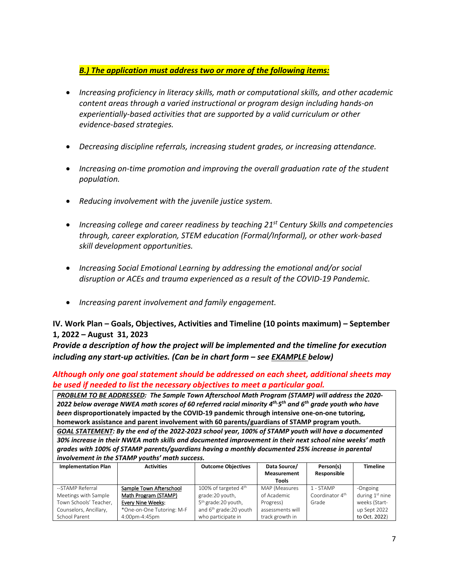*B.) The application must address two or more of the following items:* 

- *Increasing proficiency in literacy skills, math or computational skills, and other academic content areas through a varied instructional or program design including hands-on experientially-based activities that are supported by a valid curriculum or other evidence-based strategies.*
- *Decreasing discipline referrals, increasing student grades, or increasing attendance.*
- Increasing on-time promotion and improving the overall graduation rate of the student *population.*
- *Reducing involvement with the juvenile justice system.*
- *Increasing college and career readiness by teaching 21st Century Skills and competencies through, career exploration, STEM education (Formal/Informal), or other work-based skill development opportunities.*
- *Increasing Social Emotional Learning by addressing the emotional and/or social disruption or ACEs and trauma experienced as a result of the COVID-19 Pandemic.*
- *Increasing parent involvement and family engagement.*

#### **IV. Work Plan – Goals, Objectives, Activities and Timeline (10 points maximum) – September 1, 2022 – August 31, 2023**

*Provide a description of how the project will be implemented and the timeline for execution including any start-up activities. (Can be in chart form – see EXAMPLE below)*

*Although only one goal statement should be addressed on each sheet, additional sheets may be used if needed to list the necessary objectives to meet a particular goal.* 

*PROBLEM TO BE ADDRESSED: The Sample Town Afterschool Math Program (STAMP) will address the 2020- 2022 below average NWEA math scores of 60 referred racial minority 4th,5th and 6th grade youth who have been* **disproportionately impacted by the COVID-19 pandemic through intensive one-on-one tutoring, homework assistance and parent involvement with 60 parents/guardians of STAMP program youth.**

*GOAL STATEMENT: By the end of the 2022-2023 school year, 100% of STAMP youth will have a documented 30% increase in their NWEA math skills and documented improvement in their next school nine weeks' math grades with 100% of STAMP parents/guardians having a monthly documented 25% increase in parental involvement in the STAMP youths' math success.*

| <b>Implementation Plan</b> | <b>Activities</b>         | <b>Outcome Objectives</b>          | Data Source/<br><b>Measurement</b> | Person(s)<br>Responsible    | <b>Timeline</b>   |
|----------------------------|---------------------------|------------------------------------|------------------------------------|-----------------------------|-------------------|
|                            |                           |                                    | Tools                              |                             |                   |
| --STAMP Referral           | Sample Town Afterschool   | 100% of targeted 4 <sup>th</sup>   | MAP (Measures                      | 1 - STAMP                   | -Ongoing          |
| Meetings with Sample       | Math Program (STAMP)      | grade:20 youth,                    | of Academic                        | Coordinator 4 <sup>th</sup> | during $1st$ nine |
| Town Schools' Teacher,     | <b>Every Nine Weeks:</b>  | 5 <sup>th</sup> grade: 20 youth,   | Progress)                          | Grade                       | weeks (Start-     |
| Counselors, Ancillary,     | *One-on-One Tutoring: M-F | and 6 <sup>th</sup> grade:20 youth | assessments will                   |                             | up Sept 2022      |
| School Parent              | 4:00pm-4:45pm             | who participate in                 | track growth in                    |                             | to Oct. 2022)     |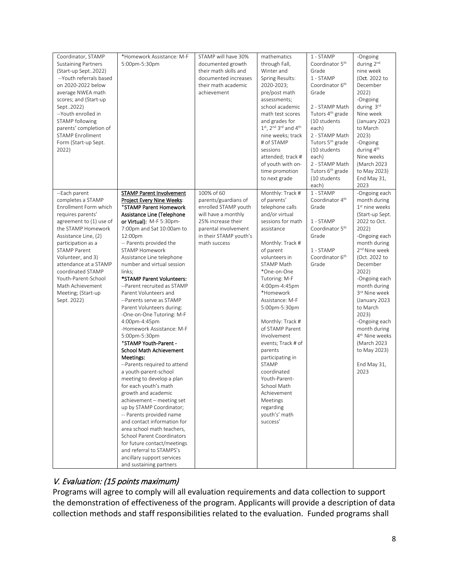| Coordinator, STAMP<br><b>Sustaining Partners</b><br>(Start-up Sept2022)<br>--Youth referrals based<br>on 2020-2022 below<br>average NWEA math<br>scores; and (Start-up<br>Sept2022)<br>--Youth enrolled in<br>STAMP following<br>parents' completion of<br><b>STAMP Enrollment</b><br>Form (Start-up Sept.<br>2022)                                       | *Homework Assistance: M-F<br>5:00pm-5:30pm                                                                                                                                                                                                                                                                                                                                                                                                                                                                                                                                                                                                                                                                                                                                                                                                                                                                                                                                                                                                                             | STAMP will have 30%<br>documented growth<br>their math skills and<br>documented increases<br>their math academic<br>achievement                                           | mathematics<br>through Fall,<br>Winter and<br>Spring Results:<br>2020-2023;<br>pre/post math<br>assessments;<br>school academic<br>math test scores<br>and grades for<br>1st, 2nd 3rd and 4th<br>nine weeks; track<br># of STAMP<br>sessions<br>attended; track #<br>of youth with on-<br>time promotion<br>to next grade                                                                                                                                                                                                | 1 - STAMP<br>Coordinator 5 <sup>th</sup><br>Grade<br>1 - STAMP<br>Coordinator 6 <sup>th</sup><br>Grade<br>2 - STAMP Math<br>Tutors 4 <sup>th</sup> grade<br>(10 students<br>each)<br>2 - STAMP Math<br>Tutors 5 <sup>th</sup> grade<br>(10 students<br>each)<br>2 - STAMP Math<br>Tutors 6 <sup>th</sup> grade<br>(10 students<br>each) | -Ongoing<br>during 2nd<br>nine week<br>(Oct. 2022 to<br>December<br>2022)<br>-Ongoing<br>during 3rd<br>Nine week<br>(January 2023<br>to March<br>2023)<br>-Ongoing<br>during 4 <sup>th</sup><br>Nine weeks<br>(March 2023<br>to May 2023)<br>End May 31,<br>2023                                                                                                                                                         |
|-----------------------------------------------------------------------------------------------------------------------------------------------------------------------------------------------------------------------------------------------------------------------------------------------------------------------------------------------------------|------------------------------------------------------------------------------------------------------------------------------------------------------------------------------------------------------------------------------------------------------------------------------------------------------------------------------------------------------------------------------------------------------------------------------------------------------------------------------------------------------------------------------------------------------------------------------------------------------------------------------------------------------------------------------------------------------------------------------------------------------------------------------------------------------------------------------------------------------------------------------------------------------------------------------------------------------------------------------------------------------------------------------------------------------------------------|---------------------------------------------------------------------------------------------------------------------------------------------------------------------------|--------------------------------------------------------------------------------------------------------------------------------------------------------------------------------------------------------------------------------------------------------------------------------------------------------------------------------------------------------------------------------------------------------------------------------------------------------------------------------------------------------------------------|-----------------------------------------------------------------------------------------------------------------------------------------------------------------------------------------------------------------------------------------------------------------------------------------------------------------------------------------|--------------------------------------------------------------------------------------------------------------------------------------------------------------------------------------------------------------------------------------------------------------------------------------------------------------------------------------------------------------------------------------------------------------------------|
| --Each parent<br>completes a STAMP<br>Enrollment Form which<br>requires parents'<br>agreement to (1) use of<br>the STAMP Homework<br>Assistance Line, (2)<br>participation as a<br><b>STAMP Parent</b><br>Volunteer, and 3)<br>attendance at a STAMP<br>coordinated STAMP<br>Youth-Parent-School<br>Math Achievement<br>Meeting; (Start-up<br>Sept. 2022) | <b>STAMP Parent Involvement</b><br>Project Every Nine Weeks:<br>*STAMP Parent Homework<br>Assistance Line (Telephone<br>or Virtual): M-F 5:30pm-<br>7:00pm and Sat 10:00am to<br>12:00pm<br>-- Parents provided the<br><b>STAMP Homework</b><br>Assistance Line telephone<br>number and virtual session<br>links;<br>*STAMP Parent Volunteers:<br>--Parent recruited as STAMP<br>Parent Volunteers and<br>--Parents serve as STAMP<br>Parent Volunteers during:<br>-One-on-One Tutoring: M-F<br>4:00pm-4:45pm<br>-Homework Assistance: M-F<br>5:00pm-5:30pm<br>*STAMP Youth-Parent -<br>School Math Achievement<br>Meetings:<br>--Parents required to attend<br>a youth-parent-school<br>meeting to develop a plan<br>for each youth's math<br>growth and academic<br>achievement - meeting set<br>up by STAMP Coordinator;<br>-- Parents provided name<br>and contact information for<br>area school math teachers,<br>School Parent Coordinators<br>for future contact/meetings<br>and referral to STAMPS's<br>ancillary support services<br>and sustaining partners | 100% of 60<br>parents/guardians of<br>enrolled STAMP youth<br>will have a monthly<br>25% increase their<br>parental involvement<br>in their STAMP youth's<br>math success | Monthly: Track #<br>of parents'<br>telephone calls<br>and/or virtual<br>sessions for math<br>assistance<br>Monthly: Track #<br>of parent<br>volunteers in<br>STAMP Math<br>*One-on-One<br>Tutoring: M-F<br>4:00pm-4:45pm<br>*Homework<br>Assistance: M-F<br>5:00pm-5:30pm<br>Monthly: Track #<br>of STAMP Parent<br>Involvement<br>events; Track # of<br>parents<br>participating in<br><b>STAMP</b><br>coordinated<br>Youth-Parent-<br>School Math<br>Achievement<br>Meetings<br>regarding<br>youth's' math<br>success' | 1 - STAMP<br>Coordinator 4 <sup>th</sup><br>Grade<br>1 - STAMP<br>Coordinator 5 <sup>th</sup><br>Grade<br>1 - STAMP<br>Coordinator 6 <sup>th</sup><br>Grade                                                                                                                                                                             | -Ongoing each<br>month during<br>1 <sup>st</sup> nine weeks<br>(Start-up Sept.<br>2022 to Oct.<br>2022)<br>-Ongoing each<br>month during<br>2 <sup>nd</sup> Nine week<br>(Oct. 2022 to<br>December<br>2022)<br>-Ongoing each<br>month during<br>3rd Nine week<br>(January 2023<br>to March<br>2023)<br>-Ongoing each<br>month during<br>4 <sup>th</sup> Nine weeks<br>(March 2023<br>to May 2023)<br>End May 31,<br>2023 |

## V. Evaluation: (15 points maximum)

Programs will agree to comply will all evaluation requirements and data collection to support the demonstration of effectiveness of the program. Applicants will provide a description of data collection methods and staff responsibilities related to the evaluation. Funded programs shall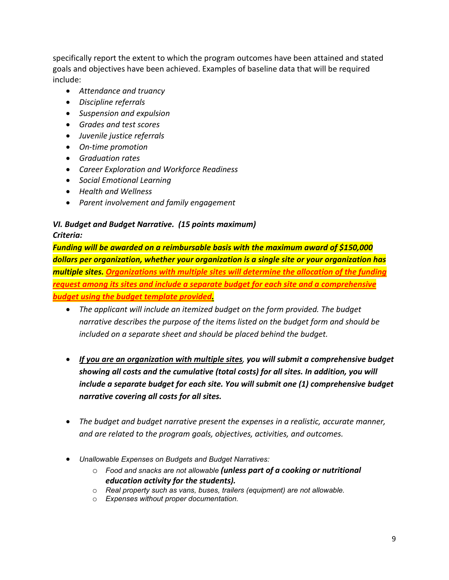specifically report the extent to which the program outcomes have been attained and stated goals and objectives have been achieved. Examples of baseline data that will be required include:

- *Attendance and truancy*
- *Discipline referrals*
- *Suspension and expulsion*
- *Grades and test scores*
- *Juvenile justice referrals*
- *On-time promotion*
- *Graduation rates*
- *Career Exploration and Workforce Readiness*
- *Social Emotional Learning*
- *Health and Wellness*
- *Parent involvement and family engagement*

#### *VI. Budget and Budget Narrative. (15 points maximum) Criteria:*

*Funding will be awarded on a reimbursable basis with the maximum award of \$150,000 dollars per organization, whether your organization is a single site or your organization has multiple sites. Organizations with multiple sites will determine the allocation of the funding request among its sites and include a separate budget for each site and a comprehensive budget using the budget template provided.* 

- *The applicant will include an itemized budget on the form provided. The budget narrative describes the purpose of the items listed on the budget form and should be included on a separate sheet and should be placed behind the budget.*
- *If you are an organization with multiple sites, you will submit a comprehensive budget showing all costs and the cumulative (total costs) for all sites. In addition, you will include a separate budget for each site. You will submit one (1) comprehensive budget narrative covering all costs for all sites.*
- *The budget and budget narrative present the expenses in a realistic, accurate manner, and are related to the program goals, objectives, activities, and outcomes.*
- *Unallowable Expenses on Budgets and Budget Narratives:*
	- o *Food and snacks are not allowable (unless part of a cooking or nutritional education activity for the students).*
	- o *Real property such as vans, buses, trailers (equipment) are not allowable.*
	- o *Expenses without proper documentation.*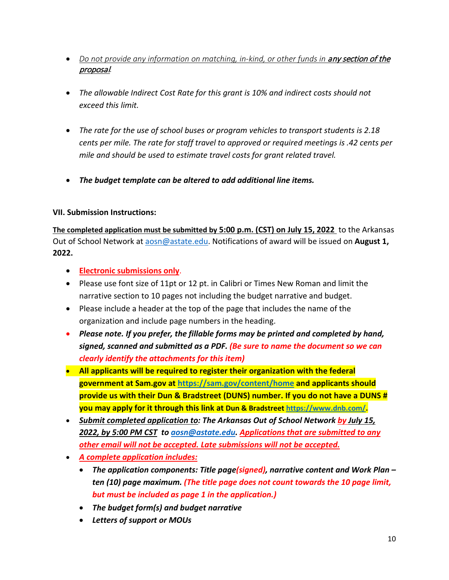- Do not provide any information on matching, in-kind, or other funds in **any section of the** proposal*.*
- *The allowable Indirect Cost Rate for this grant is 10% and indirect costs should not exceed this limit.*
- *The rate for the use of school buses or program vehicles to transport students is 2.18 cents per mile. The rate for staff travel to approved or required meetings is .42 cents per mile and should be used to estimate travel costs for grant related travel.*
- *The budget template can be altered to add additional line items.*

#### **VII. Submission Instructions:**

**The completed application must be submitted by 5:00 p.m. (CST) on July 15, 2022** to the Arkansas Out of School Network at aosn@astate.edu. Notifications of award will be issued on **August 1, 2022.** 

- **Electronic submissions only**.
- Please use font size of 11pt or 12 pt. in Calibri or Times New Roman and limit the narrative section to 10 pages not including the budget narrative and budget.
- Please include a header at the top of the page that includes the name of the organization and include page numbers in the heading.
- *Please note. If you prefer, the fillable forms may be printed and completed by hand, signed, scanned and submitted as a PDF. (Be sure to name the document so we can clearly identify the attachments for this item)*
- **All applicants will be required to register their organization with the federal government at Sam.gov at https://sam.gov/content/home and applicants should provide us with their Dun & Bradstreet (DUNS) number. If you do not have a DUNS # you may apply for it through this link at Dun & Bradstreet https://www.dnb.com/.**
- *Submit completed application to: The Arkansas Out of School Network by July 15, 2022, by 5:00 PM CST to aosn@astate.edu. Applications that are submitted to any other email will not be accepted. Late submissions will not be accepted.*
- *A complete application includes:*
	- *The application components: Title page(signed), narrative content and Work Plan ten (10) page maximum. (The title page does not count towards the 10 page limit, but must be included as page 1 in the application.)*
	- *The budget form(s) and budget narrative*
	- *Letters of support or MOUs*